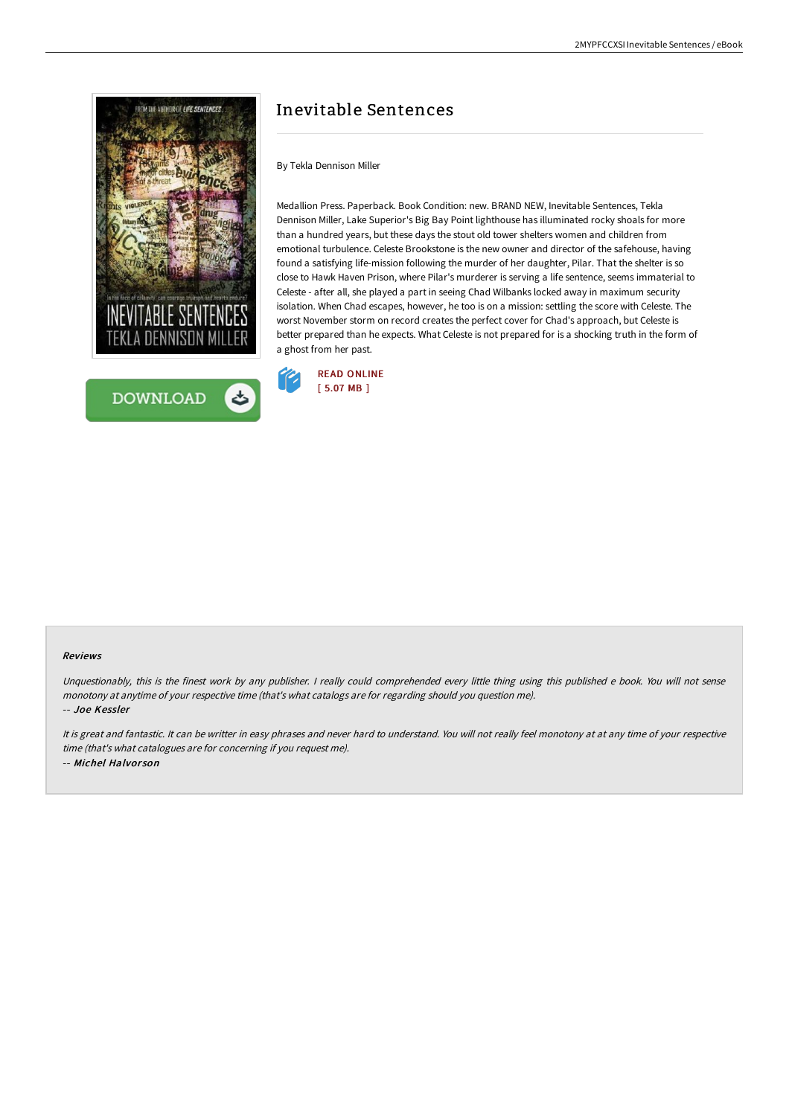



# Inevitable Sentences

## By Tekla Dennison Miller

Medallion Press. Paperback. Book Condition: new. BRAND NEW, Inevitable Sentences, Tekla Dennison Miller, Lake Superior's Big Bay Point lighthouse has illuminated rocky shoals for more than a hundred years, but these days the stout old tower shelters women and children from emotional turbulence. Celeste Brookstone is the new owner and director of the safehouse, having found a satisfying life-mission following the murder of her daughter, Pilar. That the shelter is so close to Hawk Haven Prison, where Pilar's murderer is serving a life sentence, seems immaterial to Celeste - after all, she played a part in seeing Chad Wilbanks locked away in maximum security isolation. When Chad escapes, however, he too is on a mission: settling the score with Celeste. The worst November storm on record creates the perfect cover for Chad's approach, but Celeste is better prepared than he expects. What Celeste is not prepared for is a shocking truth in the form of a ghost from her past.



#### Reviews

Unquestionably, this is the finest work by any publisher. <sup>I</sup> really could comprehended every little thing using this published <sup>e</sup> book. You will not sense monotony at anytime of your respective time (that's what catalogs are for regarding should you question me).

-- Joe Kessler

It is great and fantastic. It can be writter in easy phrases and never hard to understand. You will not really feel monotony at at any time of your respective time (that's what catalogues are for concerning if you request me). -- Michel Halvor son